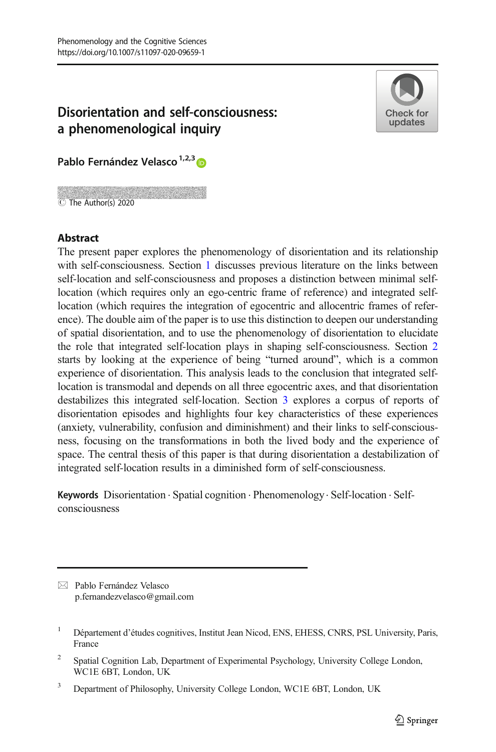# Disorientation and self-consciousness: a phenomenological inquiry



Pablo Fernández Velasco<sup>1,2,3</sup>

C The Author(s) 2020

## Abstract

The present paper explores the phenomenology of disorientation and its relationship with self-consciousness. Section [1](#page-1-0) discusses previous literature on the links between self-location and self-consciousness and proposes a distinction between minimal selflocation (which requires only an ego-centric frame of reference) and integrated selflocation (which requires the integration of egocentric and allocentric frames of reference). The double aim of the paper is to use this distinction to deepen our understanding of spatial disorientation, and to use the phenomenology of disorientation to elucidate the role that integrated self-location plays in shaping self-consciousness. Section [2](#page-5-0) starts by looking at the experience of being "turned around", which is a common experience of disorientation. This analysis leads to the conclusion that integrated selflocation is transmodal and depends on all three egocentric axes, and that disorientation destabilizes this integrated self-location. Section [3](#page-11-0) explores a corpus of reports of disorientation episodes and highlights four key characteristics of these experiences (anxiety, vulnerability, confusion and diminishment) and their links to self-consciousness, focusing on the transformations in both the lived body and the experience of space. The central thesis of this paper is that during disorientation a destabilization of integrated self-location results in a diminished form of self-consciousness.

Keywords Disorientation . Spatial cognition . Phenomenology. Self-location . Selfconsciousness

 $\boxtimes$  Pablo Fernández Velasco [p.fernandezvelasco@gmail.com](mailto:p.fernandezvelasco@gmail.com)

<sup>&</sup>lt;sup>1</sup> Département d'études cognitives, Institut Jean Nicod, ENS, EHESS, CNRS, PSL University, Paris, France

<sup>&</sup>lt;sup>2</sup> Spatial Cognition Lab, Department of Experimental Psychology, University College London, WC1E 6BT, London, UK

<sup>&</sup>lt;sup>3</sup> Department of Philosophy, University College London, WC1E 6BT, London, UK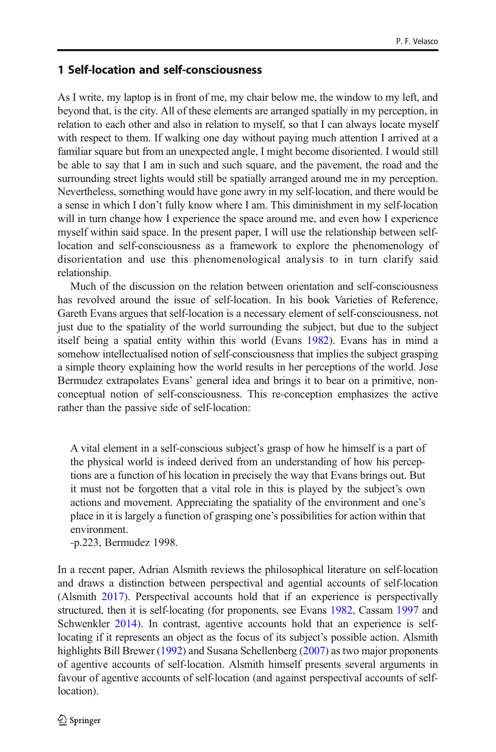## <span id="page-1-0"></span>1 Self-location and self-consciousness

As I write, my laptop is in front of me, my chair below me, the window to my left, and beyond that, is the city. All of these elements are arranged spatially in my perception, in relation to each other and also in relation to myself, so that I can always locate myself with respect to them. If walking one day without paying much attention I arrived at a familiar square but from an unexpected angle, I might become disoriented. I would still be able to say that I am in such and such square, and the pavement, the road and the surrounding street lights would still be spatially arranged around me in my perception. Nevertheless, something would have gone awry in my self-location, and there would be a sense in which I don't fully know where I am. This diminishment in my self-location will in turn change how I experience the space around me, and even how I experience myself within said space. In the present paper, I will use the relationship between selflocation and self-consciousness as a framework to explore the phenomenology of disorientation and use this phenomenological analysis to in turn clarify said relationship.

Much of the discussion on the relation between orientation and self-consciousness has revolved around the issue of self-location. In his book Varieties of Reference, Gareth Evans argues that self-location is a necessary element of self-consciousness, not just due to the spatiality of the world surrounding the subject, but due to the subject itself being a spatial entity within this world (Evans [1982\)](#page-18-0). Evans has in mind a somehow intellectualised notion of self-consciousness that implies the subject grasping a simple theory explaining how the world results in her perceptions of the world. Jose Bermudez extrapolates Evans' general idea and brings it to bear on a primitive, nonconceptual notion of self-consciousness. This re-conception emphasizes the active rather than the passive side of self-location:

A vital element in a self-conscious subject's grasp of how he himself is a part of the physical world is indeed derived from an understanding of how his perceptions are a function of his location in precisely the way that Evans brings out. But it must not be forgotten that a vital role in this is played by the subject's own actions and movement. Appreciating the spatiality of the environment and one's place in it is largely a function of grasping one's possibilities for action within that environment.

-p.223, Bermudez 1998.

In a recent paper, Adrian Alsmith reviews the philosophical literature on self-location and draws a distinction between perspectival and agential accounts of self-location (Alsmith [2017\)](#page-18-0). Perspectival accounts hold that if an experience is perspectivally structured, then it is self-locating (for proponents, see Evans [1982](#page-18-0), Cassam [1997](#page-18-0) and Schwenkler [2014](#page-18-0)). In contrast, agentive accounts hold that an experience is selflocating if it represents an object as the focus of its subject's possible action. Alsmith highlights Bill Brewer [\(1992\)](#page-18-0) and Susana Schellenberg ([2007](#page-19-0)) as two major proponents of agentive accounts of self-location. Alsmith himself presents several arguments in favour of agentive accounts of self-location (and against perspectival accounts of selflocation).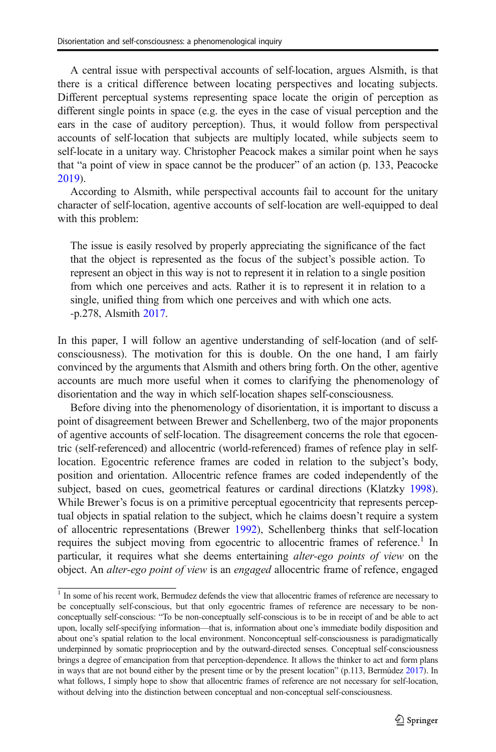A central issue with perspectival accounts of self-location, argues Alsmith, is that there is a critical difference between locating perspectives and locating subjects. Different perceptual systems representing space locate the origin of perception as different single points in space (e.g. the eyes in the case of visual perception and the ears in the case of auditory perception). Thus, it would follow from perspectival accounts of self-location that subjects are multiply located, while subjects seem to self-locate in a unitary way. Christopher Peacock makes a similar point when he says that "a point of view in space cannot be the producer" of an action (p. 133, Peacocke [2019\)](#page-19-0).

According to Alsmith, while perspectival accounts fail to account for the unitary character of self-location, agentive accounts of self-location are well-equipped to deal with this problem:

The issue is easily resolved by properly appreciating the significance of the fact that the object is represented as the focus of the subject's possible action. To represent an object in this way is not to represent it in relation to a single position from which one perceives and acts. Rather it is to represent it in relation to a single, unified thing from which one perceives and with which one acts. -p.278, Alsmith [2017](#page-18-0).

In this paper, I will follow an agentive understanding of self-location (and of selfconsciousness). The motivation for this is double. On the one hand, I am fairly convinced by the arguments that Alsmith and others bring forth. On the other, agentive accounts are much more useful when it comes to clarifying the phenomenology of disorientation and the way in which self-location shapes self-consciousness.

Before diving into the phenomenology of disorientation, it is important to discuss a point of disagreement between Brewer and Schellenberg, two of the major proponents of agentive accounts of self-location. The disagreement concerns the role that egocentric (self-referenced) and allocentric (world-referenced) frames of refence play in selflocation. Egocentric reference frames are coded in relation to the subject's body, position and orientation. Allocentric refence frames are coded independently of the subject, based on cues, geometrical features or cardinal directions (Klatzky [1998\)](#page-19-0). While Brewer's focus is on a primitive perceptual egocentricity that represents perceptual objects in spatial relation to the subject, which he claims doesn't require a system of allocentric representations (Brewer [1992\)](#page-18-0), Schellenberg thinks that self-location requires the subject moving from egocentric to allocentric frames of reference.<sup>1</sup> In particular, it requires what she deems entertaining alter-ego points of view on the object. An alter-ego point of view is an engaged allocentric frame of refence, engaged

<sup>&</sup>lt;sup>1</sup> In some of his recent work, Bermudez defends the view that allocentric frames of reference are necessary to be conceptually self-conscious, but that only egocentric frames of reference are necessary to be nonconceptually self-conscious: "To be non-conceptually self-conscious is to be in receipt of and be able to act upon, locally self-specifying information—that is, information about one's immediate bodily disposition and about one's spatial relation to the local environment. Nonconceptual self-consciousness is paradigmatically underpinned by somatic proprioception and by the outward-directed senses. Conceptual self-consciousness brings a degree of emancipation from that perception-dependence. It allows the thinker to act and form plans in ways that are not bound either by the present time or by the present location" (p.113, Bermúdez [2017](#page-18-0)). In what follows, I simply hope to show that allocentric frames of reference are not necessary for self-location, without delving into the distinction between conceptual and non-conceptual self-consciousness.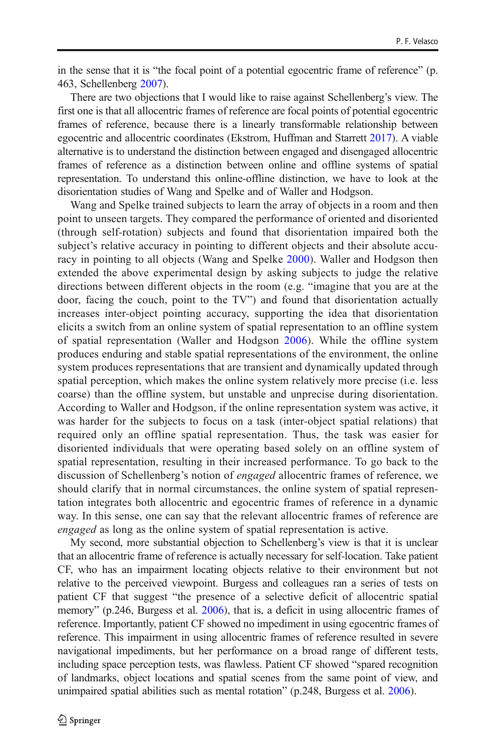in the sense that it is "the focal point of a potential egocentric frame of reference" (p. 463, Schellenberg [2007\)](#page-19-0).

There are two objections that I would like to raise against Schellenberg's view. The first one is that all allocentric frames of reference are focal points of potential egocentric frames of reference, because there is a linearly transformable relationship between egocentric and allocentric coordinates (Ekstrom, Huffman and Starrett [2017](#page-18-0)). A viable alternative is to understand the distinction between engaged and disengaged allocentric frames of reference as a distinction between online and offline systems of spatial representation. To understand this online-offline distinction, we have to look at the disorientation studies of Wang and Spelke and of Waller and Hodgson.

Wang and Spelke trained subjects to learn the array of objects in a room and then point to unseen targets. They compared the performance of oriented and disoriented (through self-rotation) subjects and found that disorientation impaired both the subject's relative accuracy in pointing to different objects and their absolute accuracy in pointing to all objects (Wang and Spelke [2000\)](#page-19-0). Waller and Hodgson then extended the above experimental design by asking subjects to judge the relative directions between different objects in the room (e.g. "imagine that you are at the door, facing the couch, point to the TV") and found that disorientation actually increases inter-object pointing accuracy, supporting the idea that disorientation elicits a switch from an online system of spatial representation to an offline system of spatial representation (Waller and Hodgson [2006](#page-19-0)). While the offline system produces enduring and stable spatial representations of the environment, the online system produces representations that are transient and dynamically updated through spatial perception, which makes the online system relatively more precise (i.e. less coarse) than the offline system, but unstable and unprecise during disorientation. According to Waller and Hodgson, if the online representation system was active, it was harder for the subjects to focus on a task (inter-object spatial relations) that required only an offline spatial representation. Thus, the task was easier for disoriented individuals that were operating based solely on an offline system of spatial representation, resulting in their increased performance. To go back to the discussion of Schellenberg's notion of engaged allocentric frames of reference, we should clarify that in normal circumstances, the online system of spatial representation integrates both allocentric and egocentric frames of reference in a dynamic way. In this sense, one can say that the relevant allocentric frames of reference are engaged as long as the online system of spatial representation is active.

My second, more substantial objection to Schellenberg's view is that it is unclear that an allocentric frame of reference is actually necessary for self-location. Take patient CF, who has an impairment locating objects relative to their environment but not relative to the perceived viewpoint. Burgess and colleagues ran a series of tests on patient CF that suggest "the presence of a selective deficit of allocentric spatial memory" (p.246, Burgess et al. [2006](#page-18-0)), that is, a deficit in using allocentric frames of reference. Importantly, patient CF showed no impediment in using egocentric frames of reference. This impairment in using allocentric frames of reference resulted in severe navigational impediments, but her performance on a broad range of different tests, including space perception tests, was flawless. Patient CF showed "spared recognition of landmarks, object locations and spatial scenes from the same point of view, and unimpaired spatial abilities such as mental rotation" (p.248, Burgess et al. [2006\)](#page-18-0).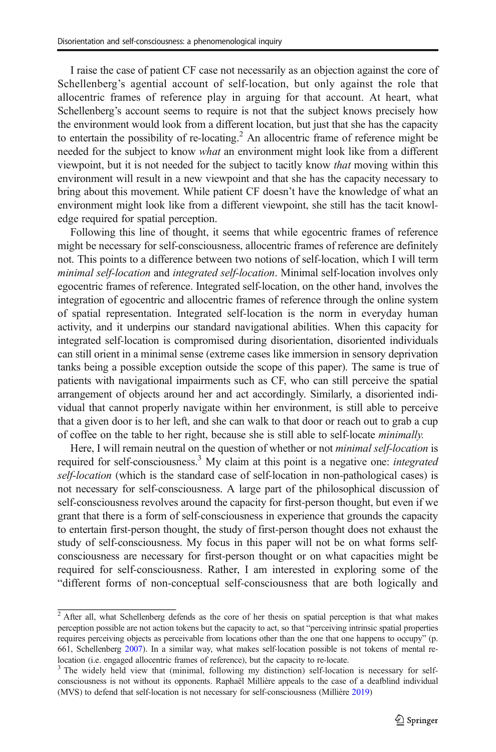I raise the case of patient CF case not necessarily as an objection against the core of Schellenberg's agential account of self-location, but only against the role that allocentric frames of reference play in arguing for that account. At heart, what Schellenberg's account seems to require is not that the subject knows precisely how the environment would look from a different location, but just that she has the capacity to entertain the possibility of re-locating.<sup>2</sup> An allocentric frame of reference might be needed for the subject to know what an environment might look like from a different viewpoint, but it is not needed for the subject to tacitly know that moving within this environment will result in a new viewpoint and that she has the capacity necessary to bring about this movement. While patient CF doesn't have the knowledge of what an environment might look like from a different viewpoint, she still has the tacit knowledge required for spatial perception.

Following this line of thought, it seems that while egocentric frames of reference might be necessary for self-consciousness, allocentric frames of reference are definitely not. This points to a difference between two notions of self-location, which I will term minimal self-location and integrated self-location. Minimal self-location involves only egocentric frames of reference. Integrated self-location, on the other hand, involves the integration of egocentric and allocentric frames of reference through the online system of spatial representation. Integrated self-location is the norm in everyday human activity, and it underpins our standard navigational abilities. When this capacity for integrated self-location is compromised during disorientation, disoriented individuals can still orient in a minimal sense (extreme cases like immersion in sensory deprivation tanks being a possible exception outside the scope of this paper). The same is true of patients with navigational impairments such as CF, who can still perceive the spatial arrangement of objects around her and act accordingly. Similarly, a disoriented individual that cannot properly navigate within her environment, is still able to perceive that a given door is to her left, and she can walk to that door or reach out to grab a cup of coffee on the table to her right, because she is still able to self-locate minimally.

Here, I will remain neutral on the question of whether or not *minimal self-location* is required for self-consciousness.<sup>3</sup> My claim at this point is a negative one: *integrated* self-location (which is the standard case of self-location in non-pathological cases) is not necessary for self-consciousness. A large part of the philosophical discussion of self-consciousness revolves around the capacity for first-person thought, but even if we grant that there is a form of self-consciousness in experience that grounds the capacity to entertain first-person thought, the study of first-person thought does not exhaust the study of self-consciousness. My focus in this paper will not be on what forms selfconsciousness are necessary for first-person thought or on what capacities might be required for self-consciousness. Rather, I am interested in exploring some of the "different forms of non-conceptual self-consciousness that are both logically and

 $\sqrt{2}$  After all, what Schellenberg defends as the core of her thesis on spatial perception is that what makes perception possible are not action tokens but the capacity to act, so that "perceiving intrinsic spatial properties requires perceiving objects as perceivable from locations other than the one that one happens to occupy" (p. 661, Schellenberg [2007](#page-19-0)). In a similar way, what makes self-location possible is not tokens of mental relocation (i.e. engaged allocentric frames of reference), but the capacity to re-locate.

<sup>&</sup>lt;sup>3</sup> The widely held view that (minimal, following my distinction) self-location is necessary for selfconsciousness is not without its opponents. Raphaël Millière appeals to the case of a deafblind individual (MVS) to defend that self-location is not necessary for self-consciousness (Millière [2019](#page-19-0))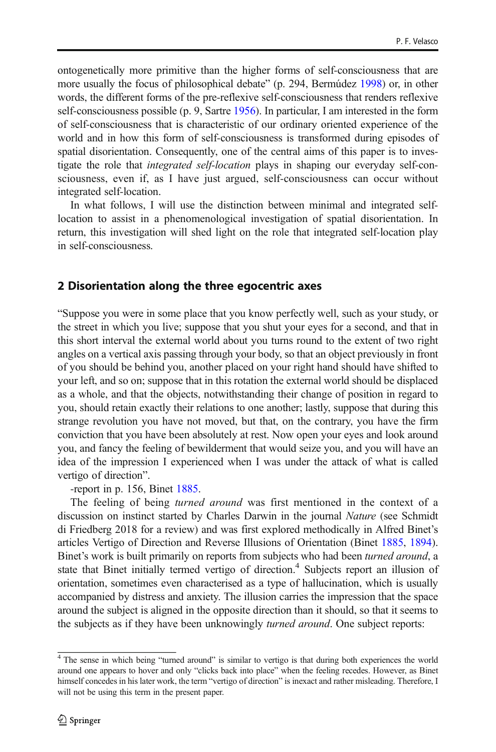<span id="page-5-0"></span>ontogenetically more primitive than the higher forms of self-consciousness that are more usually the focus of philosophical debate" (p. 294, Bermúdez [1998\)](#page-18-0) or, in other words, the different forms of the pre-reflexive self-consciousness that renders reflexive self-consciousness possible (p. 9, Sartre [1956](#page-19-0)). In particular, I am interested in the form of self-consciousness that is characteristic of our ordinary oriented experience of the world and in how this form of self-consciousness is transformed during episodes of spatial disorientation. Consequently, one of the central aims of this paper is to investigate the role that integrated self-location plays in shaping our everyday self-consciousness, even if, as I have just argued, self-consciousness can occur without integrated self-location.

In what follows, I will use the distinction between minimal and integrated selflocation to assist in a phenomenological investigation of spatial disorientation. In return, this investigation will shed light on the role that integrated self-location play in self-consciousness.

### 2 Disorientation along the three egocentric axes

"Suppose you were in some place that you know perfectly well, such as your study, or the street in which you live; suppose that you shut your eyes for a second, and that in this short interval the external world about you turns round to the extent of two right angles on a vertical axis passing through your body, so that an object previously in front of you should be behind you, another placed on your right hand should have shifted to your left, and so on; suppose that in this rotation the external world should be displaced as a whole, and that the objects, notwithstanding their change of position in regard to you, should retain exactly their relations to one another; lastly, suppose that during this strange revolution you have not moved, but that, on the contrary, you have the firm conviction that you have been absolutely at rest. Now open your eyes and look around you, and fancy the feeling of bewilderment that would seize you, and you will have an idea of the impression I experienced when I was under the attack of what is called vertigo of direction".

-report in p. 156, Binet [1885.](#page-18-0)

The feeling of being turned around was first mentioned in the context of a discussion on instinct started by Charles Darwin in the journal Nature (see Schmidt di Friedberg 2018 for a review) and was first explored methodically in Alfred Binet's articles Vertigo of Direction and Reverse Illusions of Orientation (Binet [1885,](#page-18-0) [1894\)](#page-18-0). Binet's work is built primarily on reports from subjects who had been *turned around*, a state that Binet initially termed vertigo of direction.<sup>4</sup> Subjects report an illusion of orientation, sometimes even characterised as a type of hallucination, which is usually accompanied by distress and anxiety. The illusion carries the impression that the space around the subject is aligned in the opposite direction than it should, so that it seems to the subjects as if they have been unknowingly *turned around*. One subject reports:

<sup>&</sup>lt;sup>4</sup> The sense in which being "turned around" is similar to vertigo is that during both experiences the world around one appears to hover and only "clicks back into place" when the feeling recedes. However, as Binet himself concedes in his later work, the term "vertigo of direction" is inexact and rather misleading. Therefore, I will not be using this term in the present paper.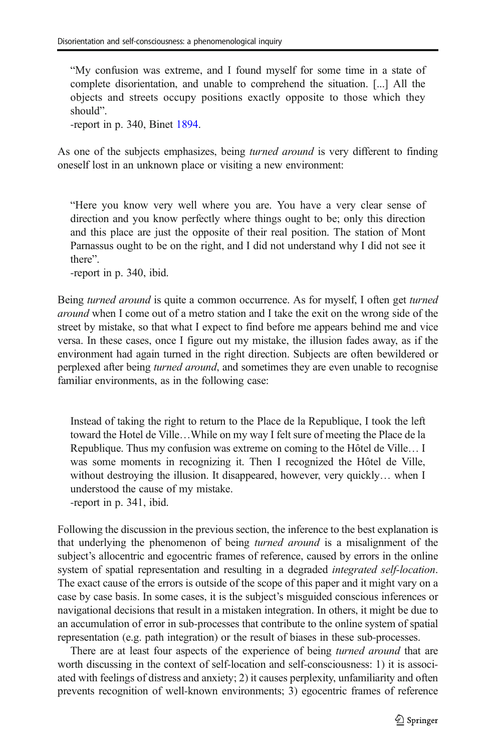"My confusion was extreme, and I found myself for some time in a state of complete disorientation, and unable to comprehend the situation. [...] All the objects and streets occupy positions exactly opposite to those which they should".

-report in p. 340, Binet [1894.](#page-18-0)

As one of the subjects emphasizes, being *turned around* is very different to finding oneself lost in an unknown place or visiting a new environment:

"Here you know very well where you are. You have a very clear sense of direction and you know perfectly where things ought to be; only this direction and this place are just the opposite of their real position. The station of Mont Parnassus ought to be on the right, and I did not understand why I did not see it there".

-report in p. 340, ibid.

Being *turned around* is quite a common occurrence. As for myself, I often get *turned* around when I come out of a metro station and I take the exit on the wrong side of the street by mistake, so that what I expect to find before me appears behind me and vice versa. In these cases, once I figure out my mistake, the illusion fades away, as if the environment had again turned in the right direction. Subjects are often bewildered or perplexed after being turned around, and sometimes they are even unable to recognise familiar environments, as in the following case:

Instead of taking the right to return to the Place de la Republique, I took the left toward the Hotel de Ville…While on my way I felt sure of meeting the Place de la Republique. Thus my confusion was extreme on coming to the Hôtel de Ville… I was some moments in recognizing it. Then I recognized the Hôtel de Ville, without destroying the illusion. It disappeared, however, very quickly... when I understood the cause of my mistake.

-report in p. 341, ibid.

Following the discussion in the previous section, the inference to the best explanation is that underlying the phenomenon of being turned around is a misalignment of the subject's allocentric and egocentric frames of reference, caused by errors in the online system of spatial representation and resulting in a degraded integrated self-location. The exact cause of the errors is outside of the scope of this paper and it might vary on a case by case basis. In some cases, it is the subject's misguided conscious inferences or navigational decisions that result in a mistaken integration. In others, it might be due to an accumulation of error in sub-processes that contribute to the online system of spatial representation (e.g. path integration) or the result of biases in these sub-processes.

There are at least four aspects of the experience of being *turned around* that are worth discussing in the context of self-location and self-consciousness: 1) it is associated with feelings of distress and anxiety; 2) it causes perplexity, unfamiliarity and often prevents recognition of well-known environments; 3) egocentric frames of reference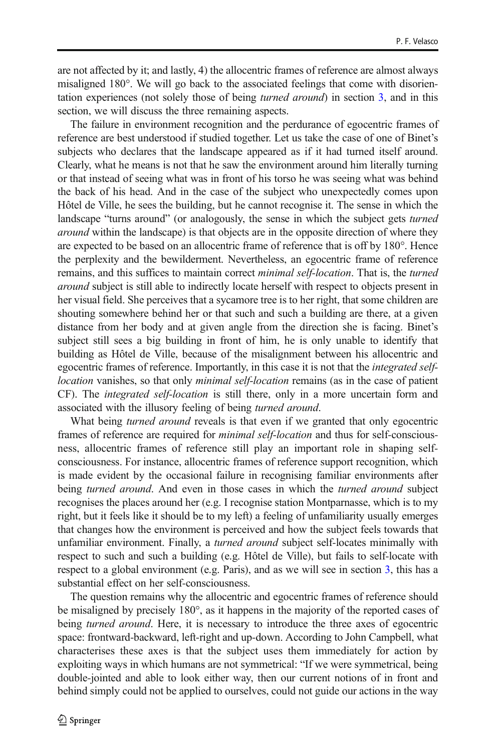are not affected by it; and lastly, 4) the allocentric frames of reference are almost always misaligned 180°. We will go back to the associated feelings that come with disorientation experiences (not solely those of being turned around) in section [3](#page-11-0), and in this section, we will discuss the three remaining aspects.

The failure in environment recognition and the perdurance of egocentric frames of reference are best understood if studied together. Let us take the case of one of Binet's subjects who declares that the landscape appeared as if it had turned itself around. Clearly, what he means is not that he saw the environment around him literally turning or that instead of seeing what was in front of his torso he was seeing what was behind the back of his head. And in the case of the subject who unexpectedly comes upon Hôtel de Ville, he sees the building, but he cannot recognise it. The sense in which the landscape "turns around" (or analogously, the sense in which the subject gets *turned* around within the landscape) is that objects are in the opposite direction of where they are expected to be based on an allocentric frame of reference that is off by 180°. Hence the perplexity and the bewilderment. Nevertheless, an egocentric frame of reference remains, and this suffices to maintain correct minimal self-location. That is, the turned around subject is still able to indirectly locate herself with respect to objects present in her visual field. She perceives that a sycamore tree is to her right, that some children are shouting somewhere behind her or that such and such a building are there, at a given distance from her body and at given angle from the direction she is facing. Binet's subject still sees a big building in front of him, he is only unable to identify that building as Hôtel de Ville, because of the misalignment between his allocentric and egocentric frames of reference. Importantly, in this case it is not that the *integrated selflocation* vanishes, so that only *minimal self-location* remains (as in the case of patient CF). The integrated self-location is still there, only in a more uncertain form and associated with the illusory feeling of being turned around.

What being *turned around* reveals is that even if we granted that only egocentric frames of reference are required for minimal self-location and thus for self-consciousness, allocentric frames of reference still play an important role in shaping selfconsciousness. For instance, allocentric frames of reference support recognition, which is made evident by the occasional failure in recognising familiar environments after being turned around. And even in those cases in which the turned around subject recognises the places around her (e.g. I recognise station Montparnasse, which is to my right, but it feels like it should be to my left) a feeling of unfamiliarity usually emerges that changes how the environment is perceived and how the subject feels towards that unfamiliar environment. Finally, a *turned around* subject self-locates minimally with respect to such and such a building (e.g. Hôtel de Ville), but fails to self-locate with respect to a global environment (e.g. Paris), and as we will see in section [3](#page-11-0), this has a substantial effect on her self-consciousness.

The question remains why the allocentric and egocentric frames of reference should be misaligned by precisely 180°, as it happens in the majority of the reported cases of being *turned around*. Here, it is necessary to introduce the three axes of egocentric space: frontward-backward, left-right and up-down. According to John Campbell, what characterises these axes is that the subject uses them immediately for action by exploiting ways in which humans are not symmetrical: "If we were symmetrical, being double-jointed and able to look either way, then our current notions of in front and behind simply could not be applied to ourselves, could not guide our actions in the way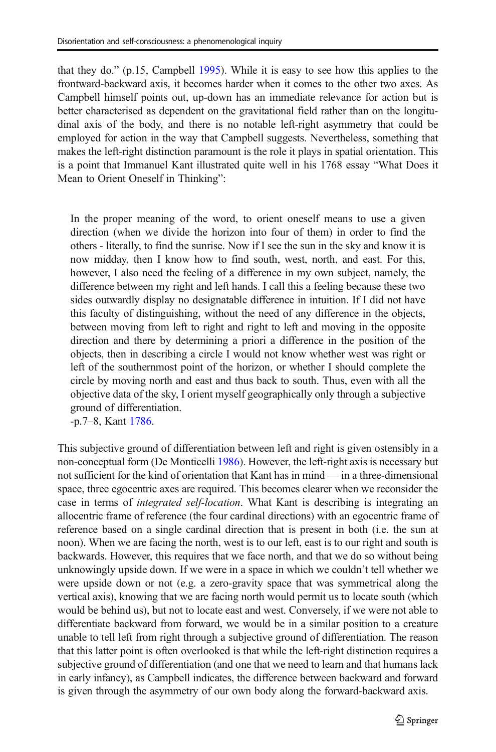that they do." (p.15, Campbell [1995\)](#page-18-0). While it is easy to see how this applies to the frontward-backward axis, it becomes harder when it comes to the other two axes. As Campbell himself points out, up-down has an immediate relevance for action but is better characterised as dependent on the gravitational field rather than on the longitudinal axis of the body, and there is no notable left-right asymmetry that could be employed for action in the way that Campbell suggests. Nevertheless, something that makes the left-right distinction paramount is the role it plays in spatial orientation. This is a point that Immanuel Kant illustrated quite well in his 1768 essay "What Does it Mean to Orient Oneself in Thinking":

In the proper meaning of the word, to orient oneself means to use a given direction (when we divide the horizon into four of them) in order to find the others - literally, to find the sunrise. Now if I see the sun in the sky and know it is now midday, then I know how to find south, west, north, and east. For this, however, I also need the feeling of a difference in my own subject, namely, the difference between my right and left hands. I call this a feeling because these two sides outwardly display no designatable difference in intuition. If I did not have this faculty of distinguishing, without the need of any difference in the objects, between moving from left to right and right to left and moving in the opposite direction and there by determining a priori a difference in the position of the objects, then in describing a circle I would not know whether west was right or left of the southernmost point of the horizon, or whether I should complete the circle by moving north and east and thus back to south. Thus, even with all the objective data of the sky, I orient myself geographically only through a subjective ground of differentiation.

-p.7–8, Kant [1786](#page-19-0).

This subjective ground of differentiation between left and right is given ostensibly in a non-conceptual form (De Monticelli [1986](#page-18-0)). However, the left-right axis is necessary but not sufficient for the kind of orientation that Kant has in mind — in a three-dimensional space, three egocentric axes are required. This becomes clearer when we reconsider the case in terms of integrated self-location. What Kant is describing is integrating an allocentric frame of reference (the four cardinal directions) with an egocentric frame of reference based on a single cardinal direction that is present in both (i.e. the sun at noon). When we are facing the north, west is to our left, east is to our right and south is backwards. However, this requires that we face north, and that we do so without being unknowingly upside down. If we were in a space in which we couldn't tell whether we were upside down or not (e.g. a zero-gravity space that was symmetrical along the vertical axis), knowing that we are facing north would permit us to locate south (which would be behind us), but not to locate east and west. Conversely, if we were not able to differentiate backward from forward, we would be in a similar position to a creature unable to tell left from right through a subjective ground of differentiation. The reason that this latter point is often overlooked is that while the left-right distinction requires a subjective ground of differentiation (and one that we need to learn and that humans lack in early infancy), as Campbell indicates, the difference between backward and forward is given through the asymmetry of our own body along the forward-backward axis.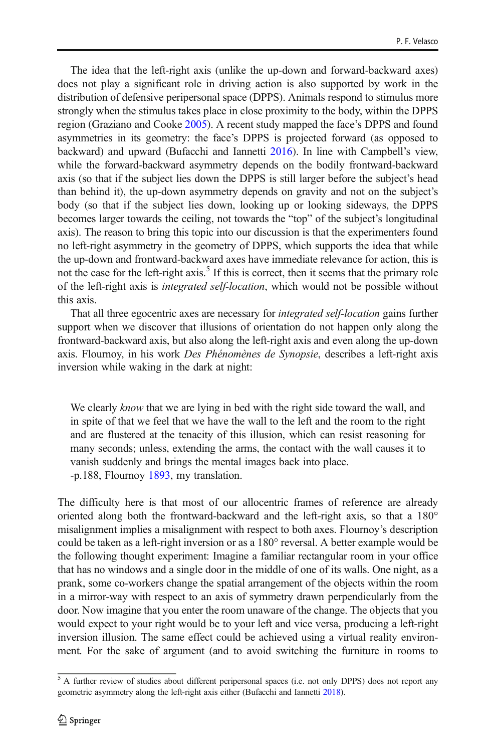The idea that the left-right axis (unlike the up-down and forward-backward axes) does not play a significant role in driving action is also supported by work in the distribution of defensive peripersonal space (DPPS). Animals respond to stimulus more strongly when the stimulus takes place in close proximity to the body, within the DPPS region (Graziano and Cooke [2005](#page-18-0)). A recent study mapped the face's DPPS and found asymmetries in its geometry: the face's DPPS is projected forward (as opposed to backward) and upward (Bufacchi and Iannetti [2016](#page-18-0)). In line with Campbell's view, while the forward-backward asymmetry depends on the bodily frontward-backward axis (so that if the subject lies down the DPPS is still larger before the subject's head than behind it), the up-down asymmetry depends on gravity and not on the subject's body (so that if the subject lies down, looking up or looking sideways, the DPPS becomes larger towards the ceiling, not towards the "top" of the subject's longitudinal axis). The reason to bring this topic into our discussion is that the experimenters found no left-right asymmetry in the geometry of DPPS, which supports the idea that while the up-down and frontward-backward axes have immediate relevance for action, this is not the case for the left-right axis.<sup>5</sup> If this is correct, then it seems that the primary role of the left-right axis is *integrated self-location*, which would not be possible without this axis.

That all three egocentric axes are necessary for integrated self-location gains further support when we discover that illusions of orientation do not happen only along the frontward-backward axis, but also along the left-right axis and even along the up-down axis. Flournoy, in his work Des Phénomènes de Synopsie, describes a left-right axis inversion while waking in the dark at night:

We clearly know that we are lying in bed with the right side toward the wall, and in spite of that we feel that we have the wall to the left and the room to the right and are flustered at the tenacity of this illusion, which can resist reasoning for many seconds; unless, extending the arms, the contact with the wall causes it to vanish suddenly and brings the mental images back into place. -p.188, Flournoy [1893,](#page-18-0) my translation.

The difficulty here is that most of our allocentric frames of reference are already oriented along both the frontward-backward and the left-right axis, so that a 180° misalignment implies a misalignment with respect to both axes. Flournoy's description could be taken as a left-right inversion or as a 180° reversal. A better example would be the following thought experiment: Imagine a familiar rectangular room in your office that has no windows and a single door in the middle of one of its walls. One night, as a prank, some co-workers change the spatial arrangement of the objects within the room in a mirror-way with respect to an axis of symmetry drawn perpendicularly from the door. Now imagine that you enter the room unaware of the change. The objects that you would expect to your right would be to your left and vice versa, producing a left-right inversion illusion. The same effect could be achieved using a virtual reality environment. For the sake of argument (and to avoid switching the furniture in rooms to

<sup>&</sup>lt;sup>5</sup> A further review of studies about different peripersonal spaces (i.e. not only DPPS) does not report any geometric asymmetry along the left-right axis either (Bufacchi and Iannetti [2018\)](#page-18-0).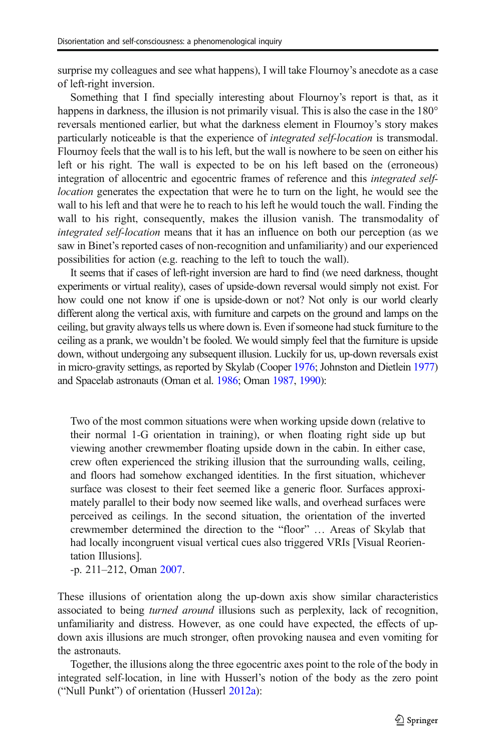surprise my colleagues and see what happens), I will take Flournoy's anecdote as a case of left-right inversion.

Something that I find specially interesting about Flournoy's report is that, as it happens in darkness, the illusion is not primarily visual. This is also the case in the 180° reversals mentioned earlier, but what the darkness element in Flournoy's story makes particularly noticeable is that the experience of integrated self-location is transmodal. Flournoy feels that the wall is to his left, but the wall is nowhere to be seen on either his left or his right. The wall is expected to be on his left based on the (erroneous) integration of allocentric and egocentric frames of reference and this integrated selflocation generates the expectation that were he to turn on the light, he would see the wall to his left and that were he to reach to his left he would touch the wall. Finding the wall to his right, consequently, makes the illusion vanish. The transmodality of integrated self-location means that it has an influence on both our perception (as we saw in Binet's reported cases of non-recognition and unfamiliarity) and our experienced possibilities for action (e.g. reaching to the left to touch the wall).

It seems that if cases of left-right inversion are hard to find (we need darkness, thought experiments or virtual reality), cases of upside-down reversal would simply not exist. For how could one not know if one is upside-down or not? Not only is our world clearly different along the vertical axis, with furniture and carpets on the ground and lamps on the ceiling, but gravity always tells us where down is. Even if someone had stuck furniture to the ceiling as a prank, we wouldn't be fooled. We would simply feel that the furniture is upside down, without undergoing any subsequent illusion. Luckily for us, up-down reversals exist in micro-gravity settings, as reported by Skylab (Cooper [1976](#page-18-0); Johnston and Dietlein [1977](#page-18-0)) and Spacelab astronauts (Oman et al. [1986;](#page-19-0) Oman [1987](#page-19-0), [1990](#page-19-0)):

Two of the most common situations were when working upside down (relative to their normal 1-G orientation in training), or when floating right side up but viewing another crewmember floating upside down in the cabin. In either case, crew often experienced the striking illusion that the surrounding walls, ceiling, and floors had somehow exchanged identities. In the first situation, whichever surface was closest to their feet seemed like a generic floor. Surfaces approximately parallel to their body now seemed like walls, and overhead surfaces were perceived as ceilings. In the second situation, the orientation of the inverted crewmember determined the direction to the "floor" … Areas of Skylab that had locally incongruent visual vertical cues also triggered VRIs [Visual Reorientation Illusions].

-p. 211–212, Oman [2007](#page-19-0).

These illusions of orientation along the up-down axis show similar characteristics associated to being turned around illusions such as perplexity, lack of recognition, unfamiliarity and distress. However, as one could have expected, the effects of updown axis illusions are much stronger, often provoking nausea and even vomiting for the astronauts.

Together, the illusions along the three egocentric axes point to the role of the body in integrated self-location, in line with Husserl's notion of the body as the zero point ("Null Punkt") of orientation (Husserl [2012a\)](#page-18-0):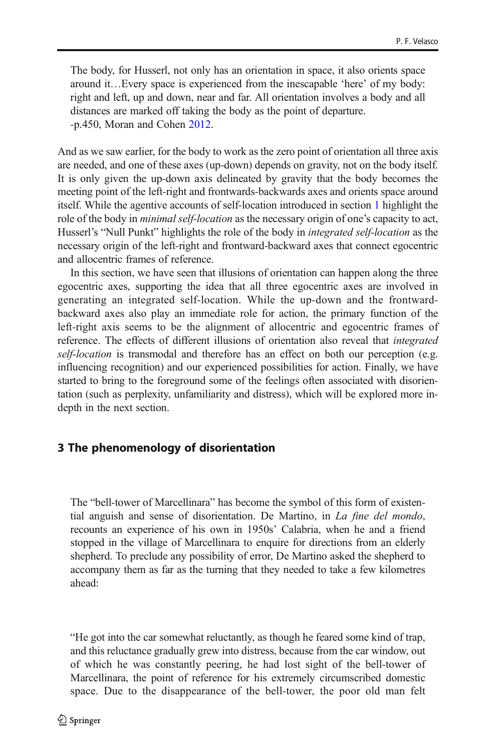<span id="page-11-0"></span>The body, for Husserl, not only has an orientation in space, it also orients space around it…Every space is experienced from the inescapable 'here' of my body: right and left, up and down, near and far. All orientation involves a body and all distances are marked off taking the body as the point of departure. -p.450, Moran and Cohen [2012.](#page-19-0)

And as we saw earlier, for the body to work as the zero point of orientation all three axis are needed, and one of these axes (up-down) depends on gravity, not on the body itself. It is only given the up-down axis delineated by gravity that the body becomes the meeting point of the left-right and frontwards-backwards axes and orients space around itself. While the agentive accounts of self-location introduced in section [1](#page-1-0) highlight the role of the body in *minimal self-location* as the necessary origin of one's capacity to act, Husserl's "Null Punkt" highlights the role of the body in *integrated self-location* as the necessary origin of the left-right and frontward-backward axes that connect egocentric and allocentric frames of reference.

In this section, we have seen that illusions of orientation can happen along the three egocentric axes, supporting the idea that all three egocentric axes are involved in generating an integrated self-location. While the up-down and the frontwardbackward axes also play an immediate role for action, the primary function of the left-right axis seems to be the alignment of allocentric and egocentric frames of reference. The effects of different illusions of orientation also reveal that integrated self-location is transmodal and therefore has an effect on both our perception (e.g. influencing recognition) and our experienced possibilities for action. Finally, we have started to bring to the foreground some of the feelings often associated with disorientation (such as perplexity, unfamiliarity and distress), which will be explored more indepth in the next section.

### 3 The phenomenology of disorientation

The "bell-tower of Marcellinara" has become the symbol of this form of existential anguish and sense of disorientation. De Martino, in La fine del mondo, recounts an experience of his own in 1950s' Calabria, when he and a friend stopped in the village of Marcellinara to enquire for directions from an elderly shepherd. To preclude any possibility of error, De Martino asked the shepherd to accompany them as far as the turning that they needed to take a few kilometres ahead:

"He got into the car somewhat reluctantly, as though he feared some kind of trap, and this reluctance gradually grew into distress, because from the car window, out of which he was constantly peering, he had lost sight of the bell-tower of Marcellinara, the point of reference for his extremely circumscribed domestic space. Due to the disappearance of the bell-tower, the poor old man felt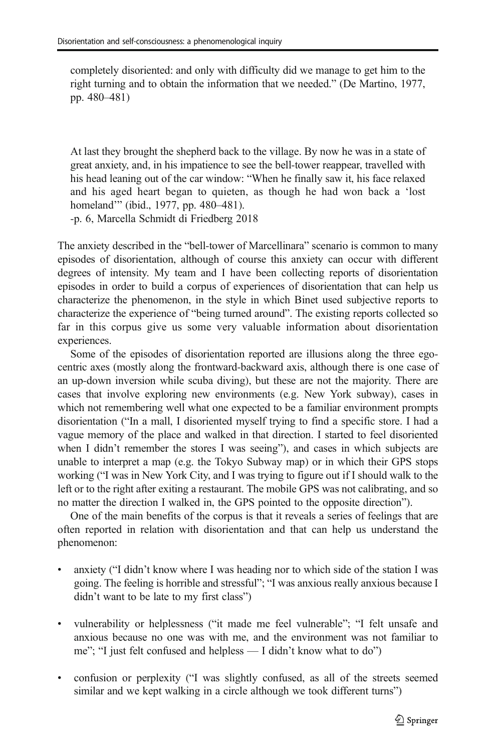completely disoriented: and only with difficulty did we manage to get him to the right turning and to obtain the information that we needed." (De Martino, 1977, pp. 480–481)

At last they brought the shepherd back to the village. By now he was in a state of great anxiety, and, in his impatience to see the bell-tower reappear, travelled with his head leaning out of the car window: "When he finally saw it, his face relaxed and his aged heart began to quieten, as though he had won back a 'lost homeland" (ibid., 1977, pp. 480–481).

-p. 6, Marcella Schmidt di Friedberg 2018

The anxiety described in the "bell-tower of Marcellinara" scenario is common to many episodes of disorientation, although of course this anxiety can occur with different degrees of intensity. My team and I have been collecting reports of disorientation episodes in order to build a corpus of experiences of disorientation that can help us characterize the phenomenon, in the style in which Binet used subjective reports to characterize the experience of "being turned around". The existing reports collected so far in this corpus give us some very valuable information about disorientation experiences.

Some of the episodes of disorientation reported are illusions along the three egocentric axes (mostly along the frontward-backward axis, although there is one case of an up-down inversion while scuba diving), but these are not the majority. There are cases that involve exploring new environments (e.g. New York subway), cases in which not remembering well what one expected to be a familiar environment prompts disorientation ("In a mall, I disoriented myself trying to find a specific store. I had a vague memory of the place and walked in that direction. I started to feel disoriented when I didn't remember the stores I was seeing"), and cases in which subjects are unable to interpret a map (e.g. the Tokyo Subway map) or in which their GPS stops working ("I was in New York City, and I was trying to figure out if I should walk to the left or to the right after exiting a restaurant. The mobile GPS was not calibrating, and so no matter the direction I walked in, the GPS pointed to the opposite direction").

One of the main benefits of the corpus is that it reveals a series of feelings that are often reported in relation with disorientation and that can help us understand the phenomenon:

- anxiety ("I didn't know where I was heading nor to which side of the station I was going. The feeling is horrible and stressful"; "I was anxious really anxious because I didn't want to be late to my first class")
- & vulnerability or helplessness ("it made me feel vulnerable"; "I felt unsafe and anxious because no one was with me, and the environment was not familiar to me"; "I just felt confused and helpless — I didn't know what to do")
- & confusion or perplexity ("I was slightly confused, as all of the streets seemed similar and we kept walking in a circle although we took different turns")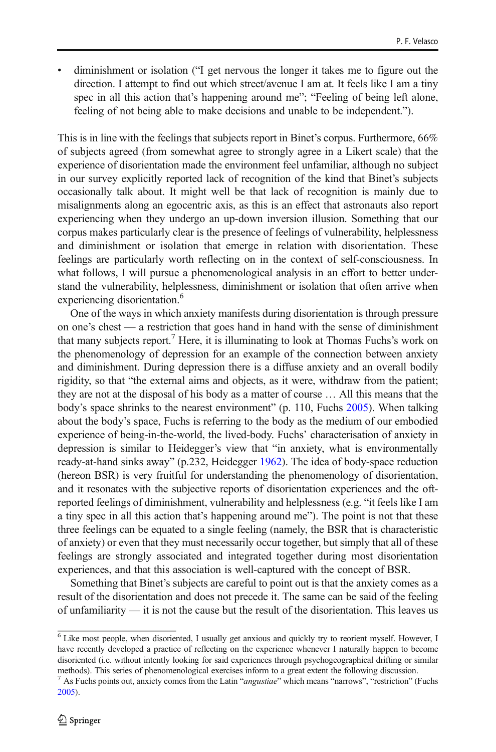& diminishment or isolation ("I get nervous the longer it takes me to figure out the direction. I attempt to find out which street/avenue I am at. It feels like I am a tiny spec in all this action that's happening around me"; "Feeling of being left alone, feeling of not being able to make decisions and unable to be independent.").

This is in line with the feelings that subjects report in Binet's corpus. Furthermore, 66% of subjects agreed (from somewhat agree to strongly agree in a Likert scale) that the experience of disorientation made the environment feel unfamiliar, although no subject in our survey explicitly reported lack of recognition of the kind that Binet's subjects occasionally talk about. It might well be that lack of recognition is mainly due to misalignments along an egocentric axis, as this is an effect that astronauts also report experiencing when they undergo an up-down inversion illusion. Something that our corpus makes particularly clear is the presence of feelings of vulnerability, helplessness and diminishment or isolation that emerge in relation with disorientation. These feelings are particularly worth reflecting on in the context of self-consciousness. In what follows, I will pursue a phenomenological analysis in an effort to better understand the vulnerability, helplessness, diminishment or isolation that often arrive when experiencing disorientation.<sup>6</sup>

One of the ways in which anxiety manifests during disorientation is through pressure on one's chest — a restriction that goes hand in hand with the sense of diminishment that many subjects report.<sup>7</sup> Here, it is illuminating to look at Thomas Fuchs's work on the phenomenology of depression for an example of the connection between anxiety and diminishment. During depression there is a diffuse anxiety and an overall bodily rigidity, so that "the external aims and objects, as it were, withdraw from the patient; they are not at the disposal of his body as a matter of course … All this means that the body's space shrinks to the nearest environment" (p. 110, Fuchs [2005\)](#page-18-0). When talking about the body's space, Fuchs is referring to the body as the medium of our embodied experience of being-in-the-world, the lived-body. Fuchs' characterisation of anxiety in depression is similar to Heidegger's view that "in anxiety, what is environmentally ready-at-hand sinks away" (p.232, Heidegger [1962\)](#page-18-0). The idea of body-space reduction (hereon BSR) is very fruitful for understanding the phenomenology of disorientation, and it resonates with the subjective reports of disorientation experiences and the oftreported feelings of diminishment, vulnerability and helplessness (e.g. "it feels like I am a tiny spec in all this action that's happening around me"). The point is not that these three feelings can be equated to a single feeling (namely, the BSR that is characteristic of anxiety) or even that they must necessarily occur together, but simply that all of these feelings are strongly associated and integrated together during most disorientation experiences, and that this association is well-captured with the concept of BSR.

Something that Binet's subjects are careful to point out is that the anxiety comes as a result of the disorientation and does not precede it. The same can be said of the feeling of unfamiliarity — it is not the cause but the result of the disorientation. This leaves us

<sup>&</sup>lt;sup>6</sup> Like most people, when disoriented, I usually get anxious and quickly try to reorient myself. However, I have recently developed a practice of reflecting on the experience whenever I naturally happen to become disoriented (i.e. without intently looking for said experiences through psychogeographical drifting or similar methods). This series of phenomenological exercises inform to a great extent the following discussion.

<sup>&</sup>lt;sup>7</sup> As Fuchs points out, anxiety comes from the Latin "*angustiae*" which means "narrows", "restriction" (Fuchs [2005\)](#page-18-0).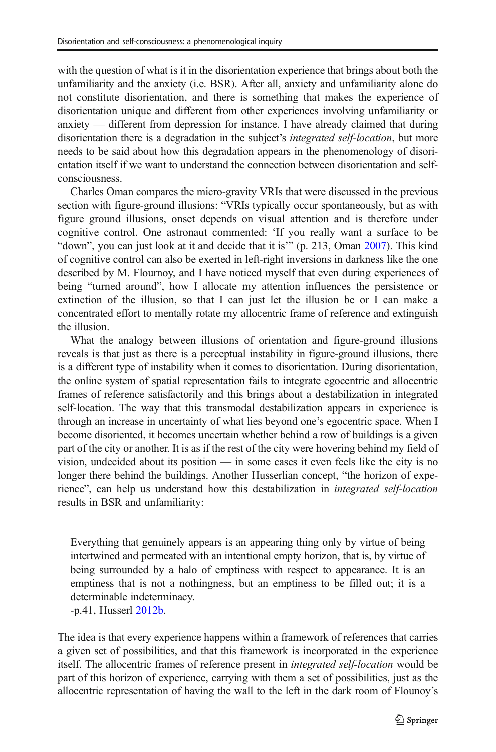with the question of what is it in the disorientation experience that brings about both the unfamiliarity and the anxiety (i.e. BSR). After all, anxiety and unfamiliarity alone do not constitute disorientation, and there is something that makes the experience of disorientation unique and different from other experiences involving unfamiliarity or anxiety — different from depression for instance. I have already claimed that during disorientation there is a degradation in the subject's *integrated self-location*, but more needs to be said about how this degradation appears in the phenomenology of disorientation itself if we want to understand the connection between disorientation and selfconsciousness.

Charles Oman compares the micro-gravity VRIs that were discussed in the previous section with figure-ground illusions: "VRIs typically occur spontaneously, but as with figure ground illusions, onset depends on visual attention and is therefore under cognitive control. One astronaut commented: 'If you really want a surface to be "down", you can just look at it and decide that it is'" (p. 213, Oman [2007](#page-19-0)). This kind of cognitive control can also be exerted in left-right inversions in darkness like the one described by M. Flournoy, and I have noticed myself that even during experiences of being "turned around", how I allocate my attention influences the persistence or extinction of the illusion, so that I can just let the illusion be or I can make a concentrated effort to mentally rotate my allocentric frame of reference and extinguish the illusion.

What the analogy between illusions of orientation and figure-ground illusions reveals is that just as there is a perceptual instability in figure-ground illusions, there is a different type of instability when it comes to disorientation. During disorientation, the online system of spatial representation fails to integrate egocentric and allocentric frames of reference satisfactorily and this brings about a destabilization in integrated self-location. The way that this transmodal destabilization appears in experience is through an increase in uncertainty of what lies beyond one's egocentric space. When I become disoriented, it becomes uncertain whether behind a row of buildings is a given part of the city or another. It is as if the rest of the city were hovering behind my field of vision, undecided about its position — in some cases it even feels like the city is no longer there behind the buildings. Another Husserlian concept, "the horizon of experience", can help us understand how this destabilization in *integrated self-location* results in BSR and unfamiliarity:

Everything that genuinely appears is an appearing thing only by virtue of being intertwined and permeated with an intentional empty horizon, that is, by virtue of being surrounded by a halo of emptiness with respect to appearance. It is an emptiness that is not a nothingness, but an emptiness to be filled out; it is a determinable indeterminacy.

-p.41, Husserl [2012b.](#page-18-0)

The idea is that every experience happens within a framework of references that carries a given set of possibilities, and that this framework is incorporated in the experience itself. The allocentric frames of reference present in integrated self-location would be part of this horizon of experience, carrying with them a set of possibilities, just as the allocentric representation of having the wall to the left in the dark room of Flounoy's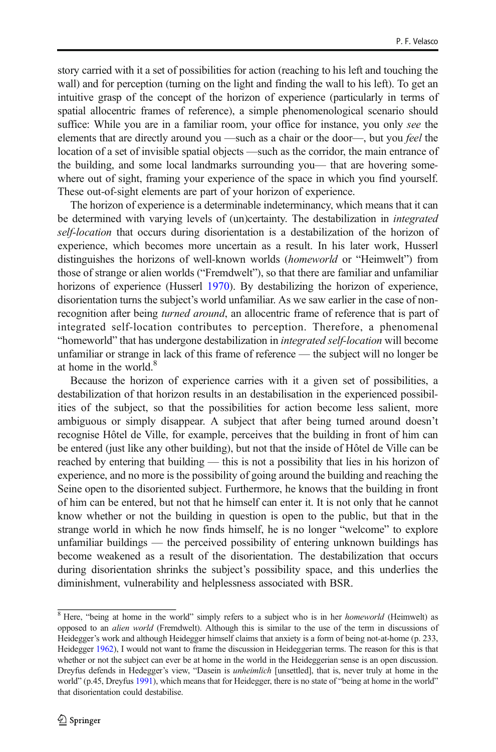story carried with it a set of possibilities for action (reaching to his left and touching the wall) and for perception (turning on the light and finding the wall to his left). To get an intuitive grasp of the concept of the horizon of experience (particularly in terms of spatial allocentric frames of reference), a simple phenomenological scenario should suffice: While you are in a familiar room, your office for instance, you only see the elements that are directly around you —such as a chair or the door—, but you feel the location of a set of invisible spatial objects —such as the corridor, the main entrance of the building, and some local landmarks surrounding you— that are hovering somewhere out of sight, framing your experience of the space in which you find yourself. These out-of-sight elements are part of your horizon of experience.

The horizon of experience is a determinable indeterminancy, which means that it can be determined with varying levels of (un)certainty. The destabilization in integrated self-location that occurs during disorientation is a destabilization of the horizon of experience, which becomes more uncertain as a result. In his later work, Husserl distinguishes the horizons of well-known worlds (homeworld or "Heimwelt") from those of strange or alien worlds ("Fremdwelt"), so that there are familiar and unfamiliar horizons of experience (Husserl [1970](#page-18-0)). By destabilizing the horizon of experience, disorientation turns the subject's world unfamiliar. As we saw earlier in the case of nonrecognition after being turned around, an allocentric frame of reference that is part of integrated self-location contributes to perception. Therefore, a phenomenal "homeworld" that has undergone destabilization in integrated self-location will become unfamiliar or strange in lack of this frame of reference — the subject will no longer be at home in the world.<sup>8</sup>

Because the horizon of experience carries with it a given set of possibilities, a destabilization of that horizon results in an destabilisation in the experienced possibilities of the subject, so that the possibilities for action become less salient, more ambiguous or simply disappear. A subject that after being turned around doesn't recognise Hôtel de Ville, for example, perceives that the building in front of him can be entered (just like any other building), but not that the inside of Hôtel de Ville can be reached by entering that building — this is not a possibility that lies in his horizon of experience, and no more is the possibility of going around the building and reaching the Seine open to the disoriented subject. Furthermore, he knows that the building in front of him can be entered, but not that he himself can enter it. It is not only that he cannot know whether or not the building in question is open to the public, but that in the strange world in which he now finds himself, he is no longer "welcome" to explore unfamiliar buildings — the perceived possibility of entering unknown buildings has become weakened as a result of the disorientation. The destabilization that occurs during disorientation shrinks the subject's possibility space, and this underlies the diminishment, vulnerability and helplessness associated with BSR.

<sup>&</sup>lt;sup>8</sup> Here, "being at home in the world" simply refers to a subject who is in her homeworld (Heimwelt) as opposed to an alien world (Fremdwelt). Although this is similar to the use of the term in discussions of Heidegger's work and although Heidegger himself claims that anxiety is a form of being not-at-home (p. 233, Heidegger [1962\)](#page-18-0), I would not want to frame the discussion in Heideggerian terms. The reason for this is that whether or not the subject can ever be at home in the world in the Heideggerian sense is an open discussion. Dreyfus defends in Hedegger's view, "Dasein is *unheimlich* [unsettled], that is, never truly at home in the world" (p.45, Dreyfus [1991\)](#page-18-0), which means that for Heidegger, there is no state of "being at home in the world" that disorientation could destabilise.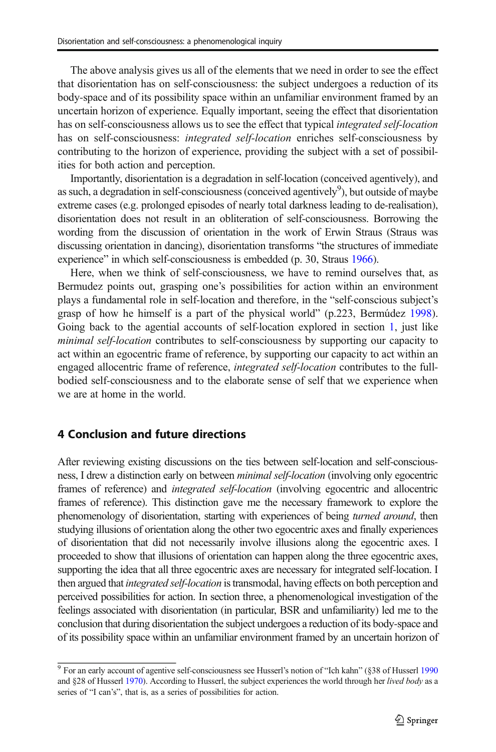The above analysis gives us all of the elements that we need in order to see the effect that disorientation has on self-consciousness: the subject undergoes a reduction of its body-space and of its possibility space within an unfamiliar environment framed by an uncertain horizon of experience. Equally important, seeing the effect that disorientation has on self-consciousness allows us to see the effect that typical integrated self-location has on self-consciousness: *integrated self-location* enriches self-consciousness by contributing to the horizon of experience, providing the subject with a set of possibilities for both action and perception.

Importantly, disorientation is a degradation in self-location (conceived agentively), and as such, a degradation in self-consciousness (conceived agentively<sup>9</sup>), but outside of maybe extreme cases (e.g. prolonged episodes of nearly total darkness leading to de-realisation), disorientation does not result in an obliteration of self-consciousness. Borrowing the wording from the discussion of orientation in the work of Erwin Straus (Straus was discussing orientation in dancing), disorientation transforms "the structures of immediate experience" in which self-consciousness is embedded (p. 30, Straus [1966\)](#page-19-0).

Here, when we think of self-consciousness, we have to remind ourselves that, as Bermudez points out, grasping one's possibilities for action within an environment plays a fundamental role in self-location and therefore, in the "self-conscious subject's grasp of how he himself is a part of the physical world" (p.223, Bermúdez [1998\)](#page-18-0). Going back to the agential accounts of self-location explored in section [1,](#page-1-0) just like minimal self-location contributes to self-consciousness by supporting our capacity to act within an egocentric frame of reference, by supporting our capacity to act within an engaged allocentric frame of reference, integrated self-location contributes to the fullbodied self-consciousness and to the elaborate sense of self that we experience when we are at home in the world.

## 4 Conclusion and future directions

After reviewing existing discussions on the ties between self-location and self-consciousness, I drew a distinction early on between minimal self-location (involving only egocentric frames of reference) and integrated self-location (involving egocentric and allocentric frames of reference). This distinction gave me the necessary framework to explore the phenomenology of disorientation, starting with experiences of being turned around, then studying illusions of orientation along the other two egocentric axes and finally experiences of disorientation that did not necessarily involve illusions along the egocentric axes. I proceeded to show that illusions of orientation can happen along the three egocentric axes, supporting the idea that all three egocentric axes are necessary for integrated self-location. I then argued that integrated self-location is transmodal, having effects on both perception and perceived possibilities for action. In section three, a phenomenological investigation of the feelings associated with disorientation (in particular, BSR and unfamiliarity) led me to the conclusion that during disorientation the subject undergoes a reduction of its body-space and of its possibility space within an unfamiliar environment framed by an uncertain horizon of

<sup>9</sup> For an early account of agentive self-consciousness see Husserl's notion of "Ich kahn" (§38 of Husserl [1990](#page-18-0) and §28 of Husserl [1970\)](#page-18-0). According to Husserl, the subject experiences the world through her lived body as a series of "I can's", that is, as a series of possibilities for action.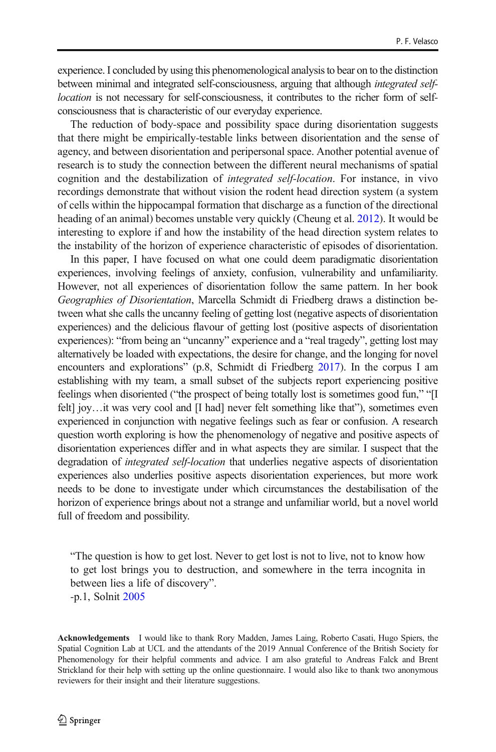experience. I concluded by using this phenomenological analysis to bear on to the distinction between minimal and integrated self-consciousness, arguing that although integrated selflocation is not necessary for self-consciousness, it contributes to the richer form of selfconsciousness that is characteristic of our everyday experience.

The reduction of body-space and possibility space during disorientation suggests that there might be empirically-testable links between disorientation and the sense of agency, and between disorientation and peripersonal space. Another potential avenue of research is to study the connection between the different neural mechanisms of spatial cognition and the destabilization of integrated self-location. For instance, in vivo recordings demonstrate that without vision the rodent head direction system (a system of cells within the hippocampal formation that discharge as a function of the directional heading of an animal) becomes unstable very quickly (Cheung et al. [2012](#page-18-0)). It would be interesting to explore if and how the instability of the head direction system relates to the instability of the horizon of experience characteristic of episodes of disorientation.

In this paper, I have focused on what one could deem paradigmatic disorientation experiences, involving feelings of anxiety, confusion, vulnerability and unfamiliarity. However, not all experiences of disorientation follow the same pattern. In her book Geographies of Disorientation, Marcella Schmidt di Friedberg draws a distinction between what she calls the uncanny feeling of getting lost (negative aspects of disorientation experiences) and the delicious flavour of getting lost (positive aspects of disorientation experiences): "from being an "uncanny" experience and a "real tragedy", getting lost may alternatively be loaded with expectations, the desire for change, and the longing for novel encounters and explorations" (p.8, Schmidt di Friedberg [2017](#page-18-0)). In the corpus I am establishing with my team, a small subset of the subjects report experiencing positive feelings when disoriented ("the prospect of being totally lost is sometimes good fun," "[I felt] joy…it was very cool and [I had] never felt something like that"), sometimes even experienced in conjunction with negative feelings such as fear or confusion. A research question worth exploring is how the phenomenology of negative and positive aspects of disorientation experiences differ and in what aspects they are similar. I suspect that the degradation of *integrated self-location* that underlies negative aspects of disorientation experiences also underlies positive aspects disorientation experiences, but more work needs to be done to investigate under which circumstances the destabilisation of the horizon of experience brings about not a strange and unfamiliar world, but a novel world full of freedom and possibility.

"The question is how to get lost. Never to get lost is not to live, not to know how to get lost brings you to destruction, and somewhere in the terra incognita in between lies a life of discovery". -p.1, Solnit [2005](#page-19-0)

Acknowledgements I would like to thank Rory Madden, James Laing, Roberto Casati, Hugo Spiers, the Spatial Cognition Lab at UCL and the attendants of the 2019 Annual Conference of the British Society for Phenomenology for their helpful comments and advice. I am also grateful to Andreas Falck and Brent Strickland for their help with setting up the online questionnaire. I would also like to thank two anonymous reviewers for their insight and their literature suggestions.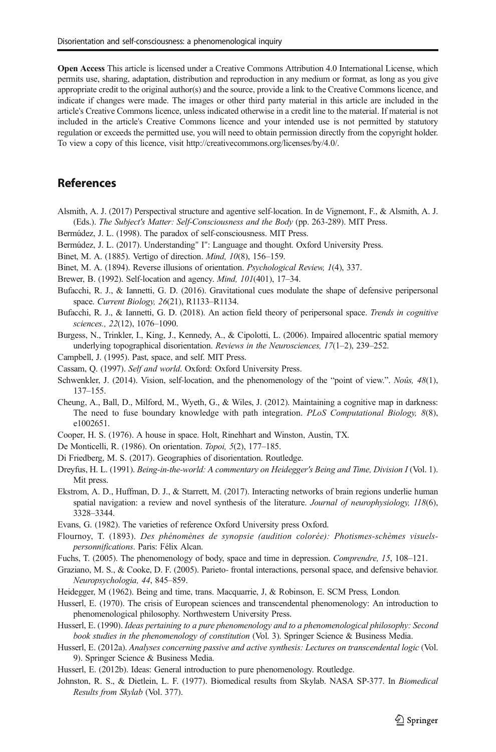<span id="page-18-0"></span>Open Access This article is licensed under a Creative Commons Attribution 4.0 International License, which permits use, sharing, adaptation, distribution and reproduction in any medium or format, as long as you give appropriate credit to the original author(s) and the source, provide a link to the Creative Commons licence, and indicate if changes were made. The images or other third party material in this article are included in the article's Creative Commons licence, unless indicated otherwise in a credit line to the material. If material is not included in the article's Creative Commons licence and your intended use is not permitted by statutory regulation or exceeds the permitted use, you will need to obtain permission directly from the copyright holder. To view a copy of this licence, visit http://creativecommons.org/licenses/by/4.0/.

#### References

- Alsmith, A. J. (2017) Perspectival structure and agentive self-location. In de Vignemont, F., & Alsmith, A. J. (Eds.). The Subject's Matter: Self-Consciousness and the Body (pp. 263-289). MIT Press.
- Bermúdez, J. L. (1998). The paradox of self-consciousness. MIT Press.
- Bermúdez, J. L. (2017). Understanding" I": Language and thought. Oxford University Press.
- Binet, M. A. (1885). Vertigo of direction. Mind, 10(8), 156–159.
- Binet, M. A. (1894). Reverse illusions of orientation. Psychological Review, 1(4), 337.
- Brewer, B. (1992). Self-location and agency. Mind, 101(401), 17–34.
- Bufacchi, R. J., & Iannetti, G. D. (2016). Gravitational cues modulate the shape of defensive peripersonal space. Current Biology, 26(21), R1133–R1134.
- Bufacchi, R. J., & Iannetti, G. D. (2018). An action field theory of peripersonal space. Trends in cognitive sciences., 22(12), 1076–1090.
- Burgess, N., Trinkler, I., King, J., Kennedy, A., & Cipolotti, L. (2006). Impaired allocentric spatial memory underlying topographical disorientation. *Reviews in the Neurosciences*, 17(1–2), 239–252.
- Campbell, J. (1995). Past, space, and self. MIT Press.
- Cassam, Q. (1997). Self and world. Oxford: Oxford University Press.
- Schwenkler, J. (2014). Vision, self-location, and the phenomenology of the "point of view.". Noûs, 48(1), 137–155.
- Cheung, A., Ball, D., Milford, M., Wyeth, G., & Wiles, J. (2012). Maintaining a cognitive map in darkness: The need to fuse boundary knowledge with path integration. PLoS Computational Biology, 8(8), e1002651.
- Cooper, H. S. (1976). A house in space. Holt, Rinehhart and Winston, Austin, TX.
- De Monticelli, R. (1986). On orientation. Topoi, 5(2), 177–185.
- Di Friedberg, M. S. (2017). Geographies of disorientation. Routledge.
- Dreyfus, H. L. (1991). Being-in-the-world: A commentary on Heidegger's Being and Time, Division I (Vol. 1). Mit press.
- Ekstrom, A. D., Huffman, D. J., & Starrett, M. (2017). Interacting networks of brain regions underlie human spatial navigation: a review and novel synthesis of the literature. Journal of neurophysiology, 118(6), 3328–3344.
- Evans, G. (1982). The varieties of reference Oxford University press Oxford.
- Flournoy, T. (1893). Des phénomènes de synopsie (audition colorée): Photismes-schèmes visuelspersonnifications. Paris: Félix Alcan.
- Fuchs, T. (2005). The phenomenology of body, space and time in depression. Comprendre, 15, 108–121.
- Graziano, M. S., & Cooke, D. F. (2005). Parieto- frontal interactions, personal space, and defensive behavior. Neuropsychologia, 44, 845–859.
- Heidegger, M (1962). Being and time, trans. Macquarrie, J, & Robinson, E. SCM Press, London.
- Husserl, E. (1970). The crisis of European sciences and transcendental phenomenology: An introduction to phenomenological philosophy. Northwestern University Press.
- Husserl, E. (1990). Ideas pertaining to a pure phenomenology and to a phenomenological philosophy: Second book studies in the phenomenology of constitution (Vol. 3). Springer Science & Business Media.
- Husserl, E. (2012a). Analyses concerning passive and active synthesis: Lectures on transcendental logic (Vol. 9). Springer Science & Business Media.
- Husserl, E. (2012b). Ideas: General introduction to pure phenomenology. Routledge.
- Johnston, R. S., & Dietlein, L. F. (1977). Biomedical results from Skylab. NASA SP-377. In Biomedical Results from Skylab (Vol. 377).